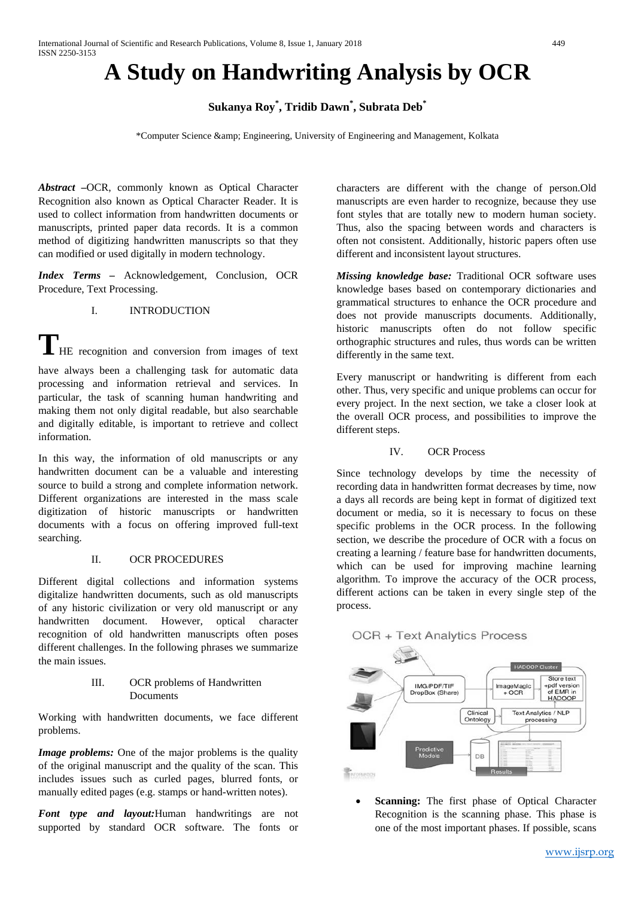# **A Study on Handwriting Analysis by OCR**

**Sukanya Roy\* , Tridib Dawn\* , Subrata Deb\***

\*Computer Science & Engineering, University of Engineering and Management, Kolkata

*Abstract –*OCR, commonly known as Optical Character Recognition also known as Optical Character Reader. It is used to collect information from handwritten documents or manuscripts, printed paper data records. It is a common method of digitizing handwritten manuscripts so that they can modified or used digitally in modern technology.

*Index Terms –* Acknowledgement, Conclusion, OCR Procedure, Text Processing.

### I. INTRODUCTION

**T**HE recognition and conversion from images of text

have always been a challenging task for automatic data processing and information retrieval and services. In particular, the task of scanning human handwriting and making them not only digital readable, but also searchable and digitally editable, is important to retrieve and collect information.

In this way, the information of old manuscripts or any handwritten document can be a valuable and interesting source to build a strong and complete information network. Different organizations are interested in the mass scale digitization of historic manuscripts or handwritten documents with a focus on offering improved full-text searching.

#### II. OCR PROCEDURES

Different digital collections and information systems digitalize handwritten documents, such as old manuscripts of any historic civilization or very old manuscript or any handwritten document. However, optical character recognition of old handwritten manuscripts often poses different challenges. In the following phrases we summarize the main issues.

### III. OCR problems of Handwritten Documents

Working with handwritten documents, we face different problems.

*Image problems:* One of the major problems is the quality of the original manuscript and the quality of the scan. This includes issues such as curled pages, blurred fonts, or manually edited pages (e.g. stamps or hand-written notes).

*Font type and layout:*Human handwritings are not supported by standard OCR software. The fonts or characters are different with the change of person.Old manuscripts are even harder to recognize, because they use font styles that are totally new to modern human society. Thus, also the spacing between words and characters is often not consistent. Additionally, historic papers often use different and inconsistent layout structures.

*Missing knowledge base:* Traditional OCR software uses knowledge bases based on contemporary dictionaries and grammatical structures to enhance the OCR procedure and does not provide manuscripts documents. Additionally, historic manuscripts often do not follow specific orthographic structures and rules, thus words can be written differently in the same text.

Every manuscript or handwriting is different from each other. Thus, very specific and unique problems can occur for every project. In the next section, we take a closer look at the overall OCR process, and possibilities to improve the different steps.

## IV. OCR Process

Since technology develops by time the necessity of recording data in handwritten format decreases by time, now a days all records are being kept in format of digitized text document or media, so it is necessary to focus on these specific problems in the OCR process. In the following section, we describe the procedure of OCR with a focus on creating a learning / feature base for handwritten documents, which can be used for improving machine learning algorithm. To improve the accuracy of the OCR process, different actions can be taken in every single step of the process.

# **OCR + Text Analytics Process**



**Scanning:** The first phase of Optical Character Recognition is the scanning phase. This phase is one of the most important phases. If possible, scans